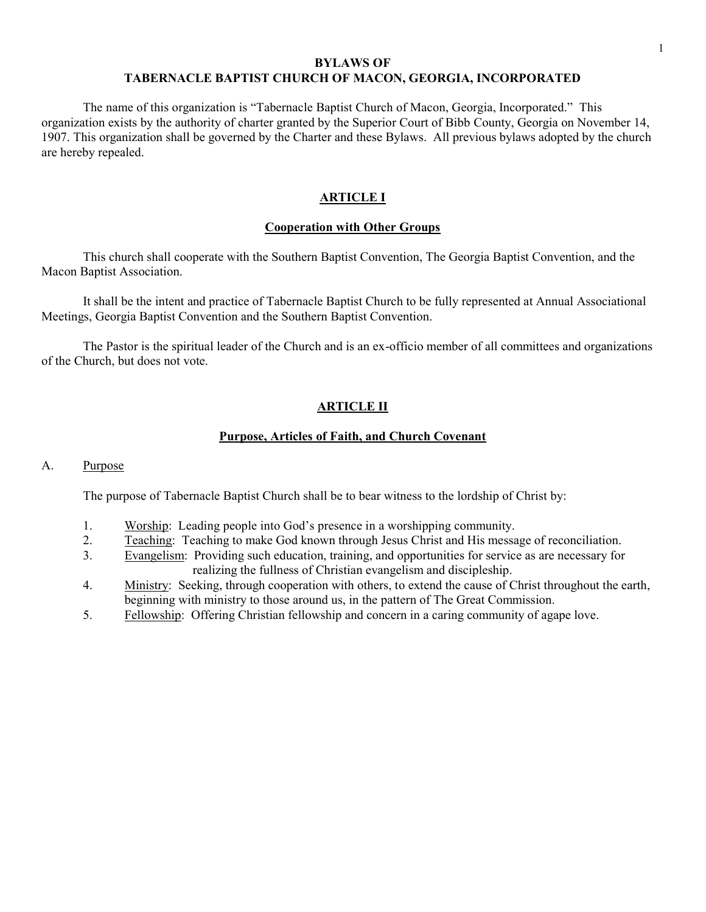# BYLAWS OF TABERNACLE BAPTIST CHURCH OF MACON, GEORGIA, INCORPORATED

The name of this organization is "Tabernacle Baptist Church of Macon, Georgia, Incorporated." This organization exists by the authority of charter granted by the Superior Court of Bibb County, Georgia on November 14, 1907. This organization shall be governed by the Charter and these Bylaws. All previous bylaws adopted by the church are hereby repealed.

# ARTICLE I

# Cooperation with Other Groups

This church shall cooperate with the Southern Baptist Convention, The Georgia Baptist Convention, and the Macon Baptist Association.

It shall be the intent and practice of Tabernacle Baptist Church to be fully represented at Annual Associational Meetings, Georgia Baptist Convention and the Southern Baptist Convention.

The Pastor is the spiritual leader of the Church and is an ex-officio member of all committees and organizations of the Church, but does not vote.

# ARTICLE II

# Purpose, Articles of Faith, and Church Covenant

# A. Purpose

The purpose of Tabernacle Baptist Church shall be to bear witness to the lordship of Christ by:

- 1. Worship: Leading people into God's presence in a worshipping community.
- 2. Teaching: Teaching to make God known through Jesus Christ and His message of reconciliation.
- 3. Evangelism: Providing such education, training, and opportunities for service as are necessary for realizing the fullness of Christian evangelism and discipleship.
- 4. Ministry: Seeking, through cooperation with others, to extend the cause of Christ throughout the earth, beginning with ministry to those around us, in the pattern of The Great Commission.
- 5. Fellowship: Offering Christian fellowship and concern in a caring community of agape love.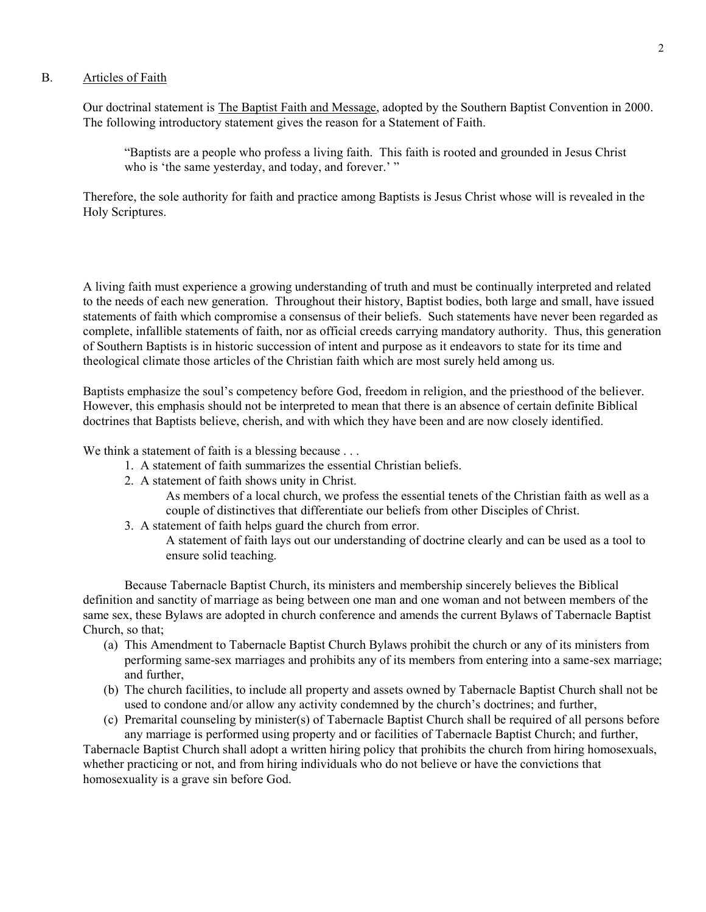## B. Articles of Faith

Our doctrinal statement is The Baptist Faith and Message, adopted by the Southern Baptist Convention in 2000. The following introductory statement gives the reason for a Statement of Faith.

"Baptists are a people who profess a living faith. This faith is rooted and grounded in Jesus Christ who is 'the same yesterday, and today, and forever.' "

Therefore, the sole authority for faith and practice among Baptists is Jesus Christ whose will is revealed in the Holy Scriptures.

A living faith must experience a growing understanding of truth and must be continually interpreted and related to the needs of each new generation. Throughout their history, Baptist bodies, both large and small, have issued statements of faith which compromise a consensus of their beliefs. Such statements have never been regarded as complete, infallible statements of faith, nor as official creeds carrying mandatory authority. Thus, this generation of Southern Baptists is in historic succession of intent and purpose as it endeavors to state for its time and theological climate those articles of the Christian faith which are most surely held among us.

Baptists emphasize the soul's competency before God, freedom in religion, and the priesthood of the believer. However, this emphasis should not be interpreted to mean that there is an absence of certain definite Biblical doctrines that Baptists believe, cherish, and with which they have been and are now closely identified.

We think a statement of faith is a blessing because . . .

- 1. A statement of faith summarizes the essential Christian beliefs.
- 2. A statement of faith shows unity in Christ.

As members of a local church, we profess the essential tenets of the Christian faith as well as a couple of distinctives that differentiate our beliefs from other Disciples of Christ.

3. A statement of faith helps guard the church from error.

A statement of faith lays out our understanding of doctrine clearly and can be used as a tool to ensure solid teaching.

Because Tabernacle Baptist Church, its ministers and membership sincerely believes the Biblical definition and sanctity of marriage as being between one man and one woman and not between members of the same sex, these Bylaws are adopted in church conference and amends the current Bylaws of Tabernacle Baptist Church, so that;

- (a) This Amendment to Tabernacle Baptist Church Bylaws prohibit the church or any of its ministers from performing same-sex marriages and prohibits any of its members from entering into a same-sex marriage; and further,
- (b) The church facilities, to include all property and assets owned by Tabernacle Baptist Church shall not be used to condone and/or allow any activity condemned by the church's doctrines; and further,
- (c) Premarital counseling by minister(s) of Tabernacle Baptist Church shall be required of all persons before any marriage is performed using property and or facilities of Tabernacle Baptist Church; and further,

Tabernacle Baptist Church shall adopt a written hiring policy that prohibits the church from hiring homosexuals, whether practicing or not, and from hiring individuals who do not believe or have the convictions that homosexuality is a grave sin before God.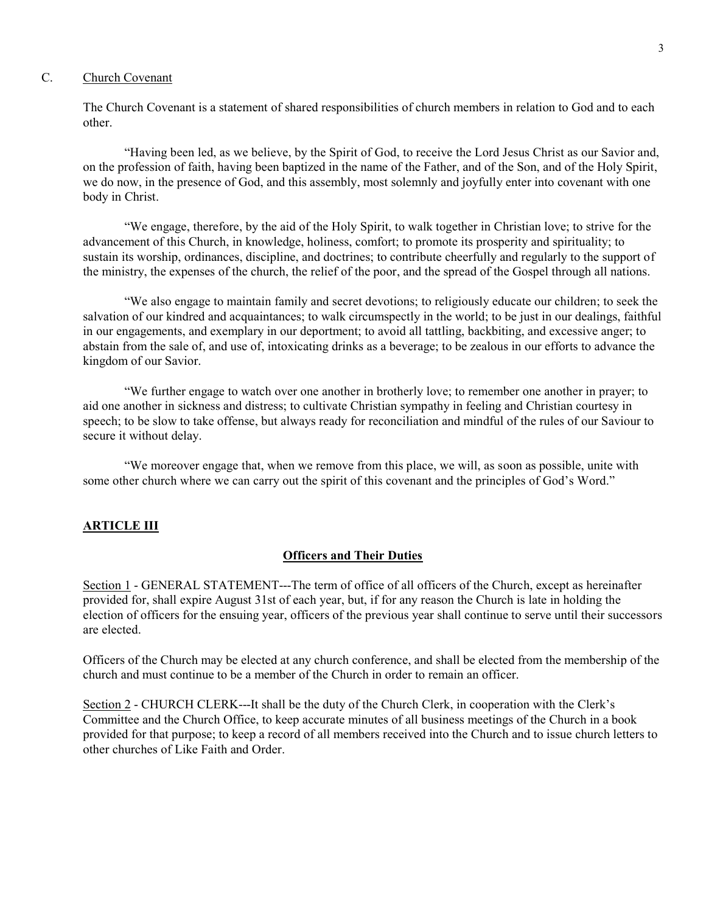# C. Church Covenant

The Church Covenant is a statement of shared responsibilities of church members in relation to God and to each other.

"Having been led, as we believe, by the Spirit of God, to receive the Lord Jesus Christ as our Savior and, on the profession of faith, having been baptized in the name of the Father, and of the Son, and of the Holy Spirit, we do now, in the presence of God, and this assembly, most solemnly and joyfully enter into covenant with one body in Christ.

"We engage, therefore, by the aid of the Holy Spirit, to walk together in Christian love; to strive for the advancement of this Church, in knowledge, holiness, comfort; to promote its prosperity and spirituality; to sustain its worship, ordinances, discipline, and doctrines; to contribute cheerfully and regularly to the support of the ministry, the expenses of the church, the relief of the poor, and the spread of the Gospel through all nations.

"We also engage to maintain family and secret devotions; to religiously educate our children; to seek the salvation of our kindred and acquaintances; to walk circumspectly in the world; to be just in our dealings, faithful in our engagements, and exemplary in our deportment; to avoid all tattling, backbiting, and excessive anger; to abstain from the sale of, and use of, intoxicating drinks as a beverage; to be zealous in our efforts to advance the kingdom of our Savior.

"We further engage to watch over one another in brotherly love; to remember one another in prayer; to aid one another in sickness and distress; to cultivate Christian sympathy in feeling and Christian courtesy in speech; to be slow to take offense, but always ready for reconciliation and mindful of the rules of our Saviour to secure it without delay.

"We moreover engage that, when we remove from this place, we will, as soon as possible, unite with some other church where we can carry out the spirit of this covenant and the principles of God's Word."

## **ARTICLE III**

## Officers and Their Duties

Section 1 - GENERAL STATEMENT---The term of office of all officers of the Church, except as hereinafter provided for, shall expire August 31st of each year, but, if for any reason the Church is late in holding the election of officers for the ensuing year, officers of the previous year shall continue to serve until their successors are elected.

Officers of the Church may be elected at any church conference, and shall be elected from the membership of the church and must continue to be a member of the Church in order to remain an officer.

Section 2 - CHURCH CLERK---It shall be the duty of the Church Clerk, in cooperation with the Clerk's Committee and the Church Office, to keep accurate minutes of all business meetings of the Church in a book provided for that purpose; to keep a record of all members received into the Church and to issue church letters to other churches of Like Faith and Order.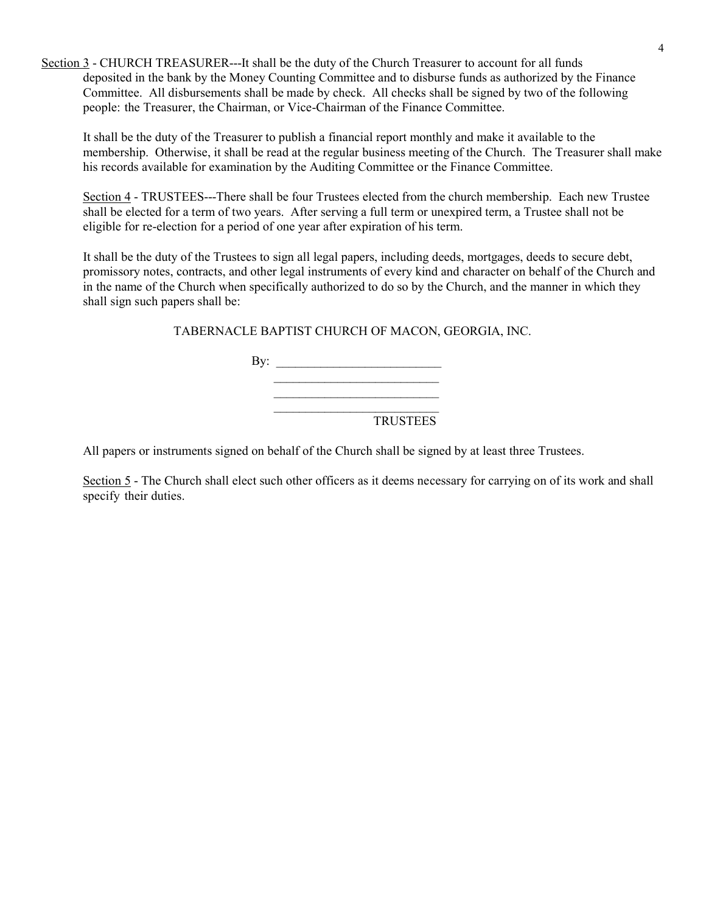Section 3 - CHURCH TREASURER---It shall be the duty of the Church Treasurer to account for all funds deposited in the bank by the Money Counting Committee and to disburse funds as authorized by the Finance Committee. All disbursements shall be made by check. All checks shall be signed by two of the following people: the Treasurer, the Chairman, or Vice-Chairman of the Finance Committee.

It shall be the duty of the Treasurer to publish a financial report monthly and make it available to the membership. Otherwise, it shall be read at the regular business meeting of the Church. The Treasurer shall make his records available for examination by the Auditing Committee or the Finance Committee.

Section 4 - TRUSTEES---There shall be four Trustees elected from the church membership. Each new Trustee shall be elected for a term of two years. After serving a full term or unexpired term, a Trustee shall not be eligible for re-election for a period of one year after expiration of his term.

It shall be the duty of the Trustees to sign all legal papers, including deeds, mortgages, deeds to secure debt, promissory notes, contracts, and other legal instruments of every kind and character on behalf of the Church and in the name of the Church when specifically authorized to do so by the Church, and the manner in which they shall sign such papers shall be:

TABERNACLE BAPTIST CHURCH OF MACON, GEORGIA, INC.

By:  $\Box$  $\mathcal{L}_\text{max}$  $\mathcal{L}_\text{max}$ 

TRUSTEES

All papers or instruments signed on behalf of the Church shall be signed by at least three Trustees.

Section 5 - The Church shall elect such other officers as it deems necessary for carrying on of its work and shall specify their duties.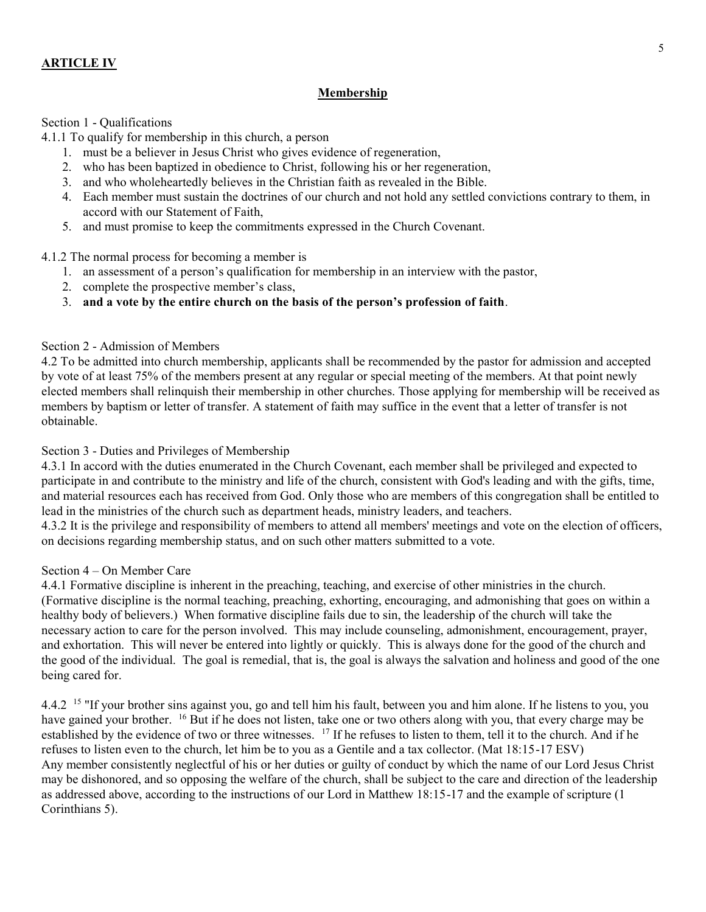# ARTICLE IV

# **Membership**

## Section 1 - Qualifications

4.1.1 To qualify for membership in this church, a person

- 1. must be a believer in Jesus Christ who gives evidence of regeneration,
- 2. who has been baptized in obedience to Christ, following his or her regeneration,
- 3. and who wholeheartedly believes in the Christian faith as revealed in the Bible.
- 4. Each member must sustain the doctrines of our church and not hold any settled convictions contrary to them, in accord with our Statement of Faith,
- 5. and must promise to keep the commitments expressed in the Church Covenant.

4.1.2 The normal process for becoming a member is

- 1. an assessment of a person's qualification for membership in an interview with the pastor,
- 2. complete the prospective member's class,
- 3. and a vote by the entire church on the basis of the person's profession of faith.

## Section 2 - Admission of Members

4.2 To be admitted into church membership, applicants shall be recommended by the pastor for admission and accepted by vote of at least 75% of the members present at any regular or special meeting of the members. At that point newly elected members shall relinquish their membership in other churches. Those applying for membership will be received as members by baptism or letter of transfer. A statement of faith may suffice in the event that a letter of transfer is not obtainable.

## Section 3 - Duties and Privileges of Membership

4.3.1 In accord with the duties enumerated in the Church Covenant, each member shall be privileged and expected to participate in and contribute to the ministry and life of the church, consistent with God's leading and with the gifts, time, and material resources each has received from God. Only those who are members of this congregation shall be entitled to lead in the ministries of the church such as department heads, ministry leaders, and teachers.

4.3.2 It is the privilege and responsibility of members to attend all members' meetings and vote on the election of officers, on decisions regarding membership status, and on such other matters submitted to a vote.

# Section 4 – On Member Care

4.4.1 Formative discipline is inherent in the preaching, teaching, and exercise of other ministries in the church. (Formative discipline is the normal teaching, preaching, exhorting, encouraging, and admonishing that goes on within a healthy body of believers.) When formative discipline fails due to sin, the leadership of the church will take the necessary action to care for the person involved. This may include counseling, admonishment, encouragement, prayer, and exhortation. This will never be entered into lightly or quickly. This is always done for the good of the church and the good of the individual. The goal is remedial, that is, the goal is always the salvation and holiness and good of the one being cared for.

4.4.2 <sup>15</sup> "If your brother sins against you, go and tell him his fault, between you and him alone. If he listens to you, you have gained your brother. <sup>16</sup> But if he does not listen, take one or two others along with you, that every charge may be established by the evidence of two or three witnesses. <sup>17</sup> If he refuses to listen to them, tell it to the church. And if he refuses to listen even to the church, let him be to you as a Gentile and a tax collector. (Mat 18:15-17 ESV) Any member consistently neglectful of his or her duties or guilty of conduct by which the name of our Lord Jesus Christ may be dishonored, and so opposing the welfare of the church, shall be subject to the care and direction of the leadership as addressed above, according to the instructions of our Lord in Matthew 18:15-17 and the example of scripture (1 Corinthians 5).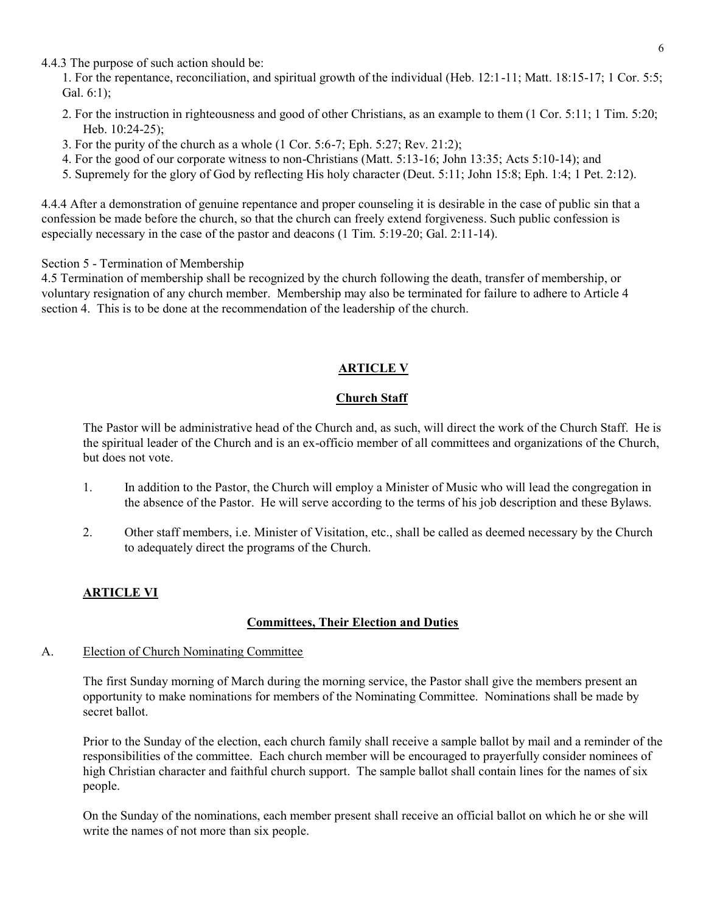4.4.3 The purpose of such action should be:

1. For the repentance, reconciliation, and spiritual growth of the individual (Heb. 12:1-11; Matt. 18:15-17; 1 Cor. 5:5; Gal. 6:1);

- 2. For the instruction in righteousness and good of other Christians, as an example to them (1 Cor. 5:11; 1 Tim. 5:20; Heb. 10:24-25);
- 3. For the purity of the church as a whole (1 Cor. 5:6-7; Eph. 5:27; Rev. 21:2);
- 4. For the good of our corporate witness to non-Christians (Matt. 5:13-16; John 13:35; Acts 5:10-14); and
- 5. Supremely for the glory of God by reflecting His holy character (Deut. 5:11; John 15:8; Eph. 1:4; 1 Pet. 2:12).

4.4.4 After a demonstration of genuine repentance and proper counseling it is desirable in the case of public sin that a confession be made before the church, so that the church can freely extend forgiveness. Such public confession is especially necessary in the case of the pastor and deacons (1 Tim. 5:19-20; Gal. 2:11-14).

Section 5 - Termination of Membership

4.5 Termination of membership shall be recognized by the church following the death, transfer of membership, or voluntary resignation of any church member. Membership may also be terminated for failure to adhere to Article 4 section 4. This is to be done at the recommendation of the leadership of the church.

# ARTICLE V

# Church Staff

The Pastor will be administrative head of the Church and, as such, will direct the work of the Church Staff. He is the spiritual leader of the Church and is an ex-officio member of all committees and organizations of the Church, but does not vote.

- 1. In addition to the Pastor, the Church will employ a Minister of Music who will lead the congregation in the absence of the Pastor. He will serve according to the terms of his job description and these Bylaws.
- 2. Other staff members, i.e. Minister of Visitation, etc., shall be called as deemed necessary by the Church to adequately direct the programs of the Church.

# ARTICLE VI

# Committees, Their Election and Duties

# A. Election of Church Nominating Committee

The first Sunday morning of March during the morning service, the Pastor shall give the members present an opportunity to make nominations for members of the Nominating Committee. Nominations shall be made by secret ballot.

Prior to the Sunday of the election, each church family shall receive a sample ballot by mail and a reminder of the responsibilities of the committee. Each church member will be encouraged to prayerfully consider nominees of high Christian character and faithful church support. The sample ballot shall contain lines for the names of six people.

On the Sunday of the nominations, each member present shall receive an official ballot on which he or she will write the names of not more than six people.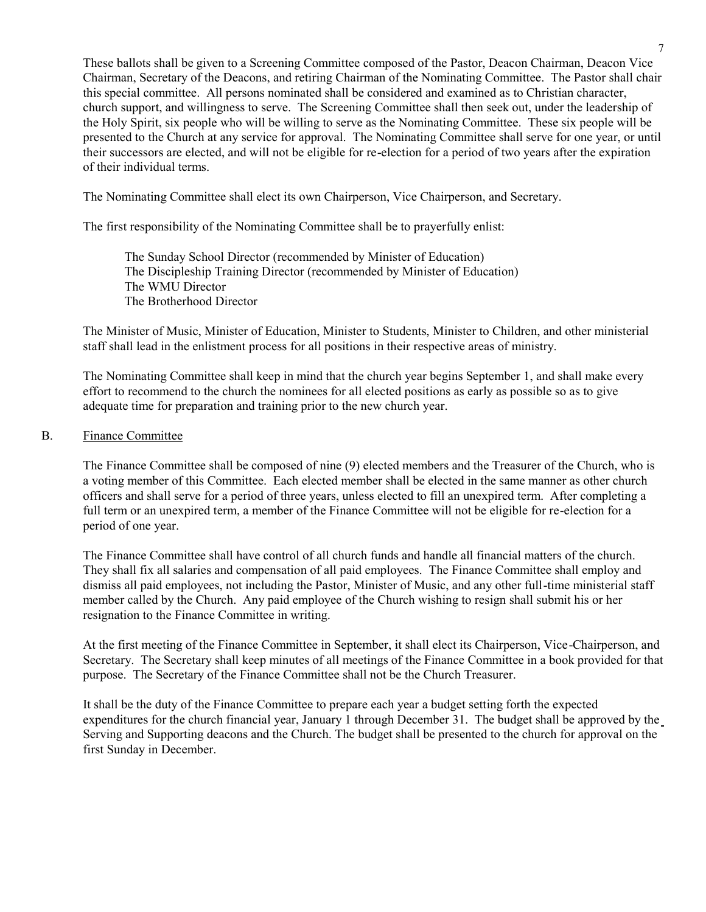These ballots shall be given to a Screening Committee composed of the Pastor, Deacon Chairman, Deacon Vice Chairman, Secretary of the Deacons, and retiring Chairman of the Nominating Committee. The Pastor shall chair this special committee. All persons nominated shall be considered and examined as to Christian character, church support, and willingness to serve. The Screening Committee shall then seek out, under the leadership of the Holy Spirit, six people who will be willing to serve as the Nominating Committee. These six people will be presented to the Church at any service for approval. The Nominating Committee shall serve for one year, or until their successors are elected, and will not be eligible for re-election for a period of two years after the expiration of their individual terms.

The Nominating Committee shall elect its own Chairperson, Vice Chairperson, and Secretary.

The first responsibility of the Nominating Committee shall be to prayerfully enlist:

The Sunday School Director (recommended by Minister of Education) The Discipleship Training Director (recommended by Minister of Education) The WMU Director The Brotherhood Director

The Minister of Music, Minister of Education, Minister to Students, Minister to Children, and other ministerial staff shall lead in the enlistment process for all positions in their respective areas of ministry.

The Nominating Committee shall keep in mind that the church year begins September 1, and shall make every effort to recommend to the church the nominees for all elected positions as early as possible so as to give adequate time for preparation and training prior to the new church year.

## B. Finance Committee

The Finance Committee shall be composed of nine (9) elected members and the Treasurer of the Church, who is a voting member of this Committee. Each elected member shall be elected in the same manner as other church officers and shall serve for a period of three years, unless elected to fill an unexpired term. After completing a full term or an unexpired term, a member of the Finance Committee will not be eligible for re-election for a period of one year.

The Finance Committee shall have control of all church funds and handle all financial matters of the church. They shall fix all salaries and compensation of all paid employees. The Finance Committee shall employ and dismiss all paid employees, not including the Pastor, Minister of Music, and any other full-time ministerial staff member called by the Church. Any paid employee of the Church wishing to resign shall submit his or her resignation to the Finance Committee in writing.

At the first meeting of the Finance Committee in September, it shall elect its Chairperson, Vice-Chairperson, and Secretary. The Secretary shall keep minutes of all meetings of the Finance Committee in a book provided for that purpose. The Secretary of the Finance Committee shall not be the Church Treasurer.

It shall be the duty of the Finance Committee to prepare each year a budget setting forth the expected expenditures for the church financial year, January 1 through December 31. The budget shall be approved by the Serving and Supporting deacons and the Church. The budget shall be presented to the church for approval on the first Sunday in December.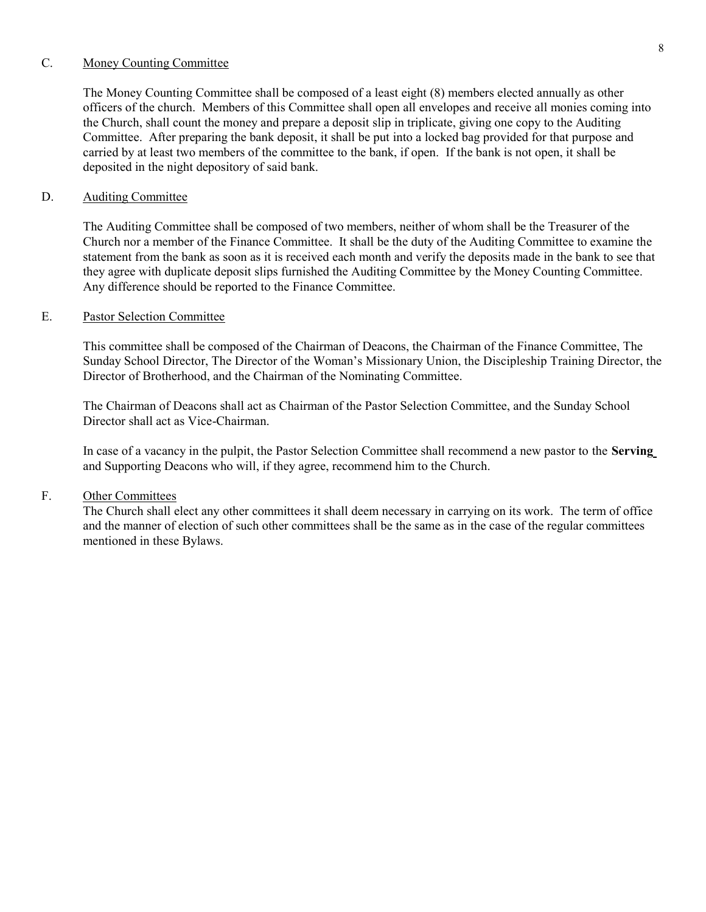### C. Money Counting Committee

The Money Counting Committee shall be composed of a least eight (8) members elected annually as other officers of the church. Members of this Committee shall open all envelopes and receive all monies coming into the Church, shall count the money and prepare a deposit slip in triplicate, giving one copy to the Auditing Committee. After preparing the bank deposit, it shall be put into a locked bag provided for that purpose and carried by at least two members of the committee to the bank, if open. If the bank is not open, it shall be deposited in the night depository of said bank.

## D. Auditing Committee

The Auditing Committee shall be composed of two members, neither of whom shall be the Treasurer of the Church nor a member of the Finance Committee. It shall be the duty of the Auditing Committee to examine the statement from the bank as soon as it is received each month and verify the deposits made in the bank to see that they agree with duplicate deposit slips furnished the Auditing Committee by the Money Counting Committee. Any difference should be reported to the Finance Committee.

# E. Pastor Selection Committee

This committee shall be composed of the Chairman of Deacons, the Chairman of the Finance Committee, The Sunday School Director, The Director of the Woman's Missionary Union, the Discipleship Training Director, the Director of Brotherhood, and the Chairman of the Nominating Committee.

The Chairman of Deacons shall act as Chairman of the Pastor Selection Committee, and the Sunday School Director shall act as Vice-Chairman.

In case of a vacancy in the pulpit, the Pastor Selection Committee shall recommend a new pastor to the Serving and Supporting Deacons who will, if they agree, recommend him to the Church.

## F. Other Committees

The Church shall elect any other committees it shall deem necessary in carrying on its work. The term of office and the manner of election of such other committees shall be the same as in the case of the regular committees mentioned in these Bylaws.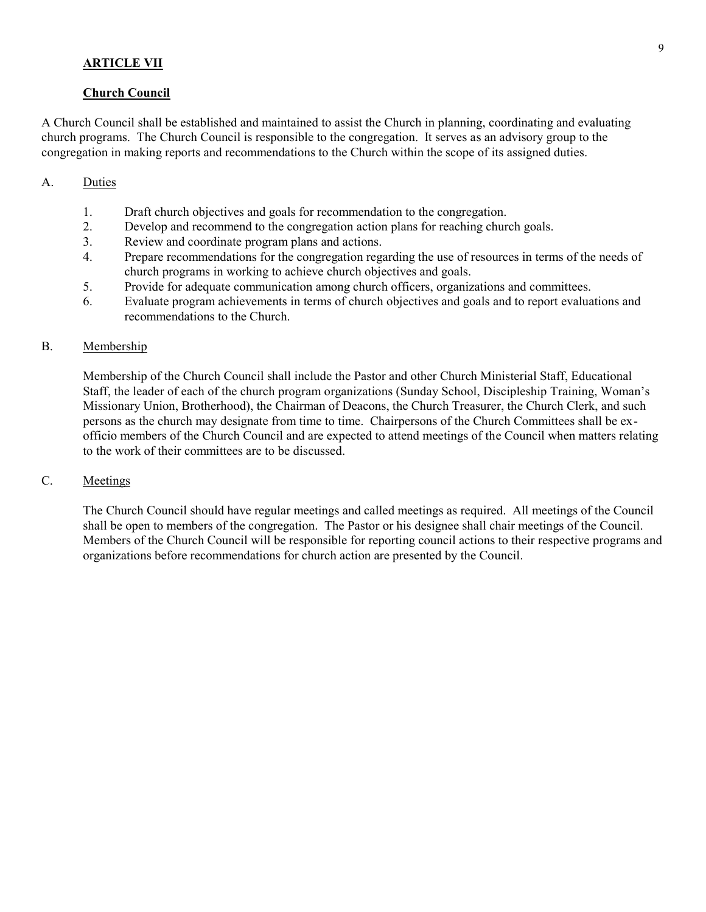# ARTICLE VII

### Church Council

A Church Council shall be established and maintained to assist the Church in planning, coordinating and evaluating church programs. The Church Council is responsible to the congregation. It serves as an advisory group to the congregation in making reports and recommendations to the Church within the scope of its assigned duties.

## A. Duties

- 1. Draft church objectives and goals for recommendation to the congregation.
- 2. Develop and recommend to the congregation action plans for reaching church goals.
- 3. Review and coordinate program plans and actions.
- 4. Prepare recommendations for the congregation regarding the use of resources in terms of the needs of church programs in working to achieve church objectives and goals.
- 5. Provide for adequate communication among church officers, organizations and committees.
- 6. Evaluate program achievements in terms of church objectives and goals and to report evaluations and recommendations to the Church.

## B. Membership

Membership of the Church Council shall include the Pastor and other Church Ministerial Staff, Educational Staff, the leader of each of the church program organizations (Sunday School, Discipleship Training, Woman's Missionary Union, Brotherhood), the Chairman of Deacons, the Church Treasurer, the Church Clerk, and such persons as the church may designate from time to time. Chairpersons of the Church Committees shall be exofficio members of the Church Council and are expected to attend meetings of the Council when matters relating to the work of their committees are to be discussed.

# C. Meetings

The Church Council should have regular meetings and called meetings as required. All meetings of the Council shall be open to members of the congregation. The Pastor or his designee shall chair meetings of the Council. Members of the Church Council will be responsible for reporting council actions to their respective programs and organizations before recommendations for church action are presented by the Council.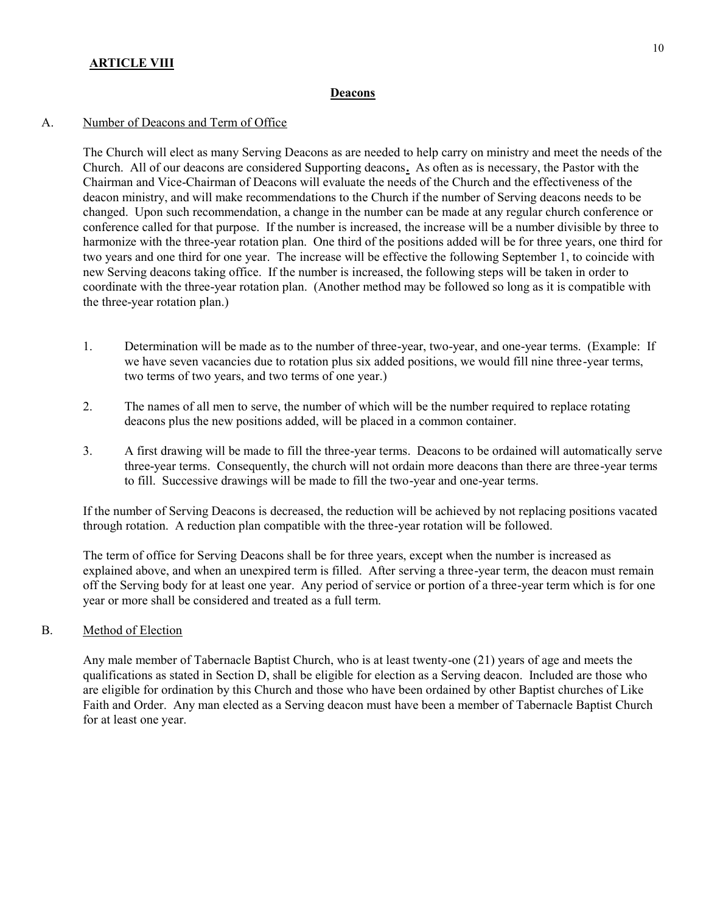# **ARTICLE VIII**

#### Deacons

## A. Number of Deacons and Term of Office

The Church will elect as many Serving Deacons as are needed to help carry on ministry and meet the needs of the Church. All of our deacons are considered Supporting deacons. As often as is necessary, the Pastor with the Chairman and Vice-Chairman of Deacons will evaluate the needs of the Church and the effectiveness of the deacon ministry, and will make recommendations to the Church if the number of Serving deacons needs to be changed. Upon such recommendation, a change in the number can be made at any regular church conference or conference called for that purpose. If the number is increased, the increase will be a number divisible by three to harmonize with the three-year rotation plan. One third of the positions added will be for three years, one third for two years and one third for one year. The increase will be effective the following September 1, to coincide with new Serving deacons taking office. If the number is increased, the following steps will be taken in order to coordinate with the three-year rotation plan. (Another method may be followed so long as it is compatible with the three-year rotation plan.)

- 1. Determination will be made as to the number of three-year, two-year, and one-year terms. (Example: If we have seven vacancies due to rotation plus six added positions, we would fill nine three-year terms, two terms of two years, and two terms of one year.)
- 2. The names of all men to serve, the number of which will be the number required to replace rotating deacons plus the new positions added, will be placed in a common container.
- 3. A first drawing will be made to fill the three-year terms. Deacons to be ordained will automatically serve three-year terms. Consequently, the church will not ordain more deacons than there are three-year terms to fill. Successive drawings will be made to fill the two-year and one-year terms.

If the number of Serving Deacons is decreased, the reduction will be achieved by not replacing positions vacated through rotation. A reduction plan compatible with the three-year rotation will be followed.

The term of office for Serving Deacons shall be for three years, except when the number is increased as explained above, and when an unexpired term is filled. After serving a three-year term, the deacon must remain off the Serving body for at least one year. Any period of service or portion of a three-year term which is for one year or more shall be considered and treated as a full term.

B. Method of Election

Any male member of Tabernacle Baptist Church, who is at least twenty-one (21) years of age and meets the qualifications as stated in Section D, shall be eligible for election as a Serving deacon. Included are those who are eligible for ordination by this Church and those who have been ordained by other Baptist churches of Like Faith and Order. Any man elected as a Serving deacon must have been a member of Tabernacle Baptist Church for at least one year.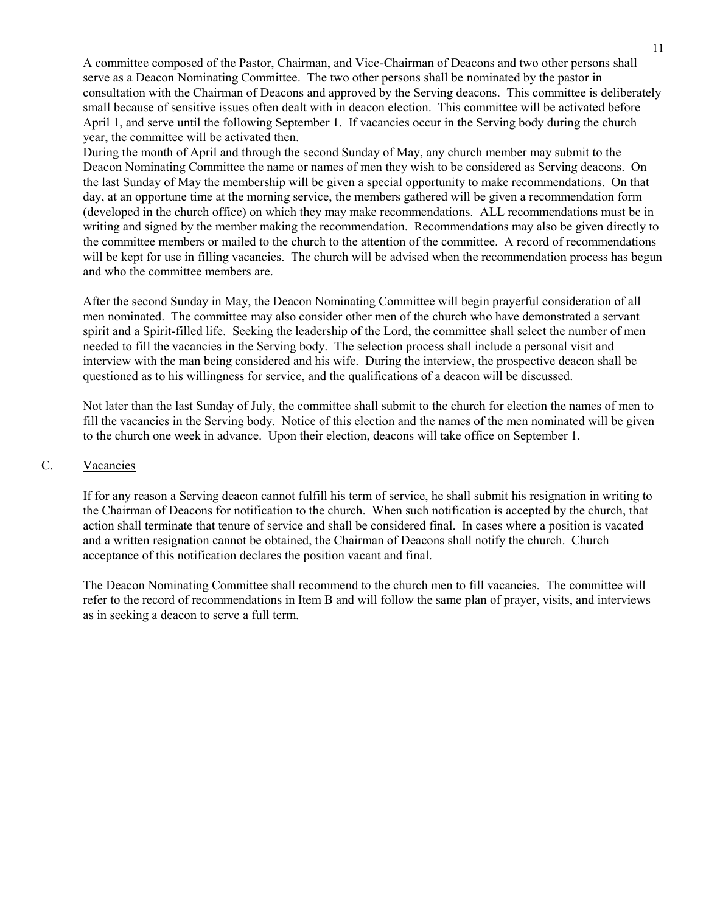A committee composed of the Pastor, Chairman, and Vice-Chairman of Deacons and two other persons shall serve as a Deacon Nominating Committee. The two other persons shall be nominated by the pastor in consultation with the Chairman of Deacons and approved by the Serving deacons. This committee is deliberately small because of sensitive issues often dealt with in deacon election. This committee will be activated before April 1, and serve until the following September 1. If vacancies occur in the Serving body during the church year, the committee will be activated then.

During the month of April and through the second Sunday of May, any church member may submit to the Deacon Nominating Committee the name or names of men they wish to be considered as Serving deacons. On the last Sunday of May the membership will be given a special opportunity to make recommendations. On that day, at an opportune time at the morning service, the members gathered will be given a recommendation form (developed in the church office) on which they may make recommendations. ALL recommendations must be in writing and signed by the member making the recommendation. Recommendations may also be given directly to the committee members or mailed to the church to the attention of the committee. A record of recommendations will be kept for use in filling vacancies. The church will be advised when the recommendation process has begun and who the committee members are.

After the second Sunday in May, the Deacon Nominating Committee will begin prayerful consideration of all men nominated. The committee may also consider other men of the church who have demonstrated a servant spirit and a Spirit-filled life. Seeking the leadership of the Lord, the committee shall select the number of men needed to fill the vacancies in the Serving body. The selection process shall include a personal visit and interview with the man being considered and his wife. During the interview, the prospective deacon shall be questioned as to his willingness for service, and the qualifications of a deacon will be discussed.

Not later than the last Sunday of July, the committee shall submit to the church for election the names of men to fill the vacancies in the Serving body. Notice of this election and the names of the men nominated will be given to the church one week in advance. Upon their election, deacons will take office on September 1.

## C. Vacancies

If for any reason a Serving deacon cannot fulfill his term of service, he shall submit his resignation in writing to the Chairman of Deacons for notification to the church. When such notification is accepted by the church, that action shall terminate that tenure of service and shall be considered final. In cases where a position is vacated and a written resignation cannot be obtained, the Chairman of Deacons shall notify the church. Church acceptance of this notification declares the position vacant and final.

The Deacon Nominating Committee shall recommend to the church men to fill vacancies. The committee will refer to the record of recommendations in Item B and will follow the same plan of prayer, visits, and interviews as in seeking a deacon to serve a full term.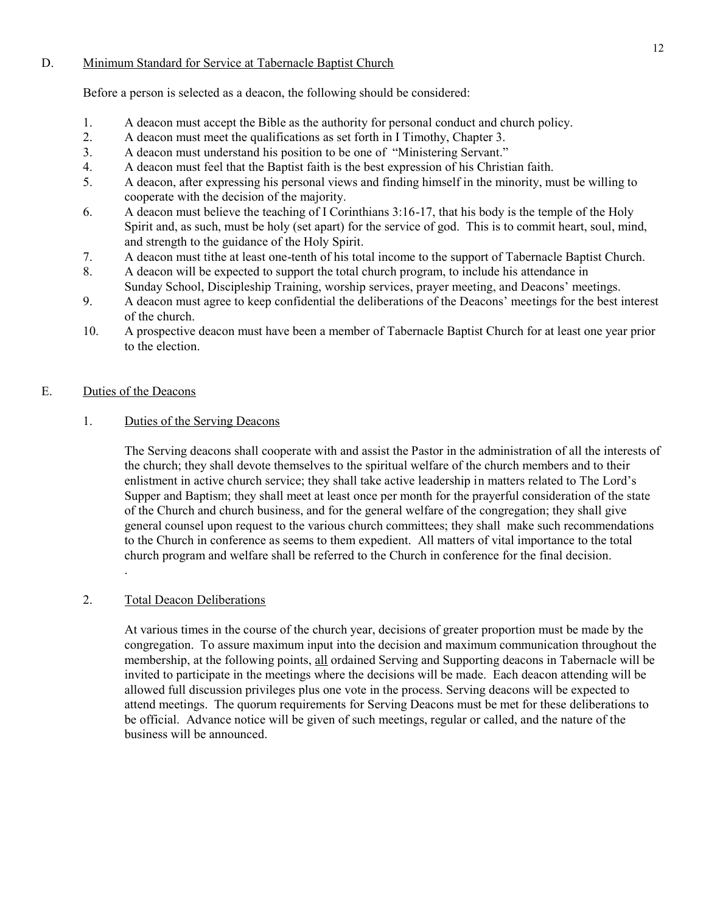# D. Minimum Standard for Service at Tabernacle Baptist Church

Before a person is selected as a deacon, the following should be considered:

- 1. A deacon must accept the Bible as the authority for personal conduct and church policy.
- 2. A deacon must meet the qualifications as set forth in I Timothy, Chapter 3.
- 3. A deacon must understand his position to be one of "Ministering Servant."
- 4. A deacon must feel that the Baptist faith is the best expression of his Christian faith.
- 5. A deacon, after expressing his personal views and finding himself in the minority, must be willing to cooperate with the decision of the majority.
- 6. A deacon must believe the teaching of I Corinthians 3:16-17, that his body is the temple of the Holy Spirit and, as such, must be holy (set apart) for the service of god. This is to commit heart, soul, mind, and strength to the guidance of the Holy Spirit.
- 7. A deacon must tithe at least one-tenth of his total income to the support of Tabernacle Baptist Church.
- 8. A deacon will be expected to support the total church program, to include his attendance in Sunday School, Discipleship Training, worship services, prayer meeting, and Deacons' meetings.
- 9. A deacon must agree to keep confidential the deliberations of the Deacons' meetings for the best interest of the church.
- 10. A prospective deacon must have been a member of Tabernacle Baptist Church for at least one year prior to the election.

# E. Duties of the Deacons

1. Duties of the Serving Deacons

The Serving deacons shall cooperate with and assist the Pastor in the administration of all the interests of the church; they shall devote themselves to the spiritual welfare of the church members and to their enlistment in active church service; they shall take active leadership in matters related to The Lord's Supper and Baptism; they shall meet at least once per month for the prayerful consideration of the state of the Church and church business, and for the general welfare of the congregation; they shall give general counsel upon request to the various church committees; they shall make such recommendations to the Church in conference as seems to them expedient. All matters of vital importance to the total church program and welfare shall be referred to the Church in conference for the final decision. .

# 2. Total Deacon Deliberations

At various times in the course of the church year, decisions of greater proportion must be made by the congregation. To assure maximum input into the decision and maximum communication throughout the membership, at the following points, all ordained Serving and Supporting deacons in Tabernacle will be invited to participate in the meetings where the decisions will be made. Each deacon attending will be allowed full discussion privileges plus one vote in the process. Serving deacons will be expected to attend meetings. The quorum requirements for Serving Deacons must be met for these deliberations to be official. Advance notice will be given of such meetings, regular or called, and the nature of the business will be announced.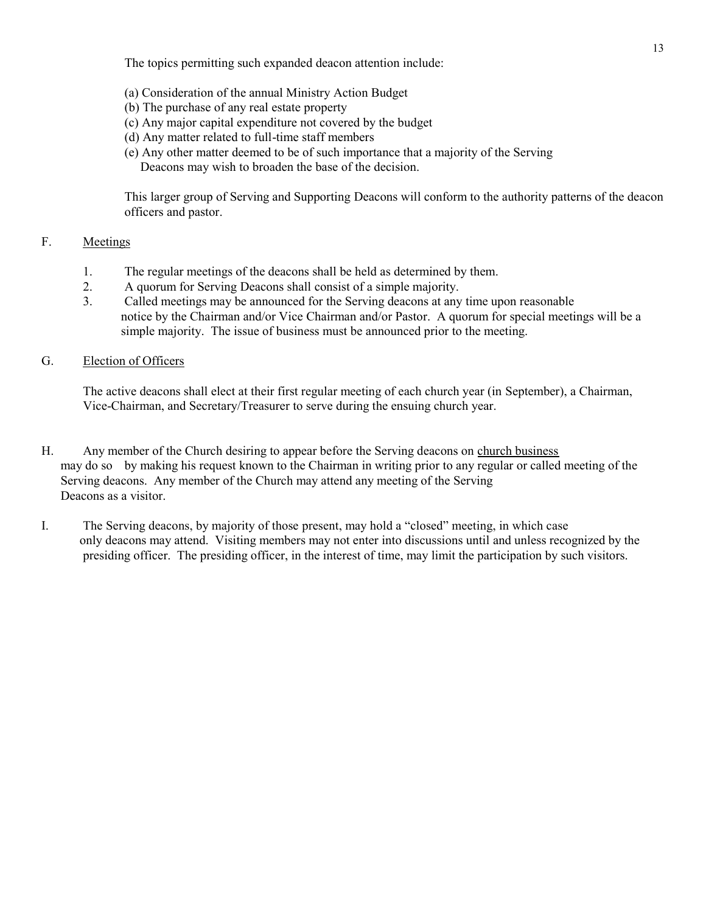The topics permitting such expanded deacon attention include:

- (a) Consideration of the annual Ministry Action Budget
- (b) The purchase of any real estate property
- (c) Any major capital expenditure not covered by the budget
- (d) Any matter related to full-time staff members
- (e) Any other matter deemed to be of such importance that a majority of the Serving Deacons may wish to broaden the base of the decision.

This larger group of Serving and Supporting Deacons will conform to the authority patterns of the deacon officers and pastor.

# F. Meetings

- 1. The regular meetings of the deacons shall be held as determined by them.
- 2. A quorum for Serving Deacons shall consist of a simple majority.
- 3. Called meetings may be announced for the Serving deacons at any time upon reasonable notice by the Chairman and/or Vice Chairman and/or Pastor. A quorum for special meetings will be a simple majority. The issue of business must be announced prior to the meeting.

# G. Election of Officers

The active deacons shall elect at their first regular meeting of each church year (in September), a Chairman, Vice-Chairman, and Secretary/Treasurer to serve during the ensuing church year.

- H. Any member of the Church desiring to appear before the Serving deacons on church business may do so by making his request known to the Chairman in writing prior to any regular or called meeting of the Serving deacons. Any member of the Church may attend any meeting of the Serving Deacons as a visitor.
- I. The Serving deacons, by majority of those present, may hold a "closed" meeting, in which case only deacons may attend. Visiting members may not enter into discussions until and unless recognized by the presiding officer. The presiding officer, in the interest of time, may limit the participation by such visitors.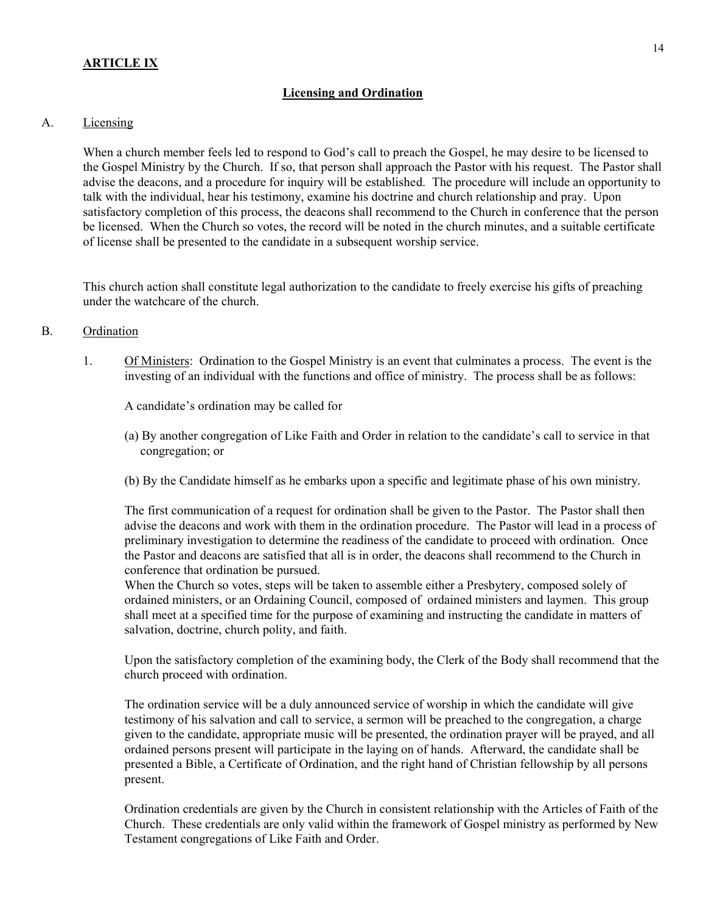# Licensing and Ordination

# A. Licensing

When a church member feels led to respond to God's call to preach the Gospel, he may desire to be licensed to the Gospel Ministry by the Church. If so, that person shall approach the Pastor with his request. The Pastor shall advise the deacons, and a procedure for inquiry will be established. The procedure will include an opportunity to talk with the individual, hear his testimony, examine his doctrine and church relationship and pray. Upon satisfactory completion of this process, the deacons shall recommend to the Church in conference that the person be licensed. When the Church so votes, the record will be noted in the church minutes, and a suitable certificate of license shall be presented to the candidate in a subsequent worship service.

This church action shall constitute legal authorization to the candidate to freely exercise his gifts of preaching under the watchcare of the church.

## B. Ordination

1. Of Ministers: Ordination to the Gospel Ministry is an event that culminates a process. The event is the investing of an individual with the functions and office of ministry. The process shall be as follows:

A candidate's ordination may be called for

- (a) By another congregation of Like Faith and Order in relation to the candidate's call to service in that congregation; or
- (b) By the Candidate himself as he embarks upon a specific and legitimate phase of his own ministry.

The first communication of a request for ordination shall be given to the Pastor. The Pastor shall then advise the deacons and work with them in the ordination procedure. The Pastor will lead in a process of preliminary investigation to determine the readiness of the candidate to proceed with ordination. Once the Pastor and deacons are satisfied that all is in order, the deacons shall recommend to the Church in conference that ordination be pursued.

When the Church so votes, steps will be taken to assemble either a Presbytery, composed solely of ordained ministers, or an Ordaining Council, composed of ordained ministers and laymen. This group shall meet at a specified time for the purpose of examining and instructing the candidate in matters of salvation, doctrine, church polity, and faith.

Upon the satisfactory completion of the examining body, the Clerk of the Body shall recommend that the church proceed with ordination.

The ordination service will be a duly announced service of worship in which the candidate will give testimony of his salvation and call to service, a sermon will be preached to the congregation, a charge given to the candidate, appropriate music will be presented, the ordination prayer will be prayed, and all ordained persons present will participate in the laying on of hands. Afterward, the candidate shall be presented a Bible, a Certificate of Ordination, and the right hand of Christian fellowship by all persons present.

Ordination credentials are given by the Church in consistent relationship with the Articles of Faith of the Church. These credentials are only valid within the framework of Gospel ministry as performed by New Testament congregations of Like Faith and Order.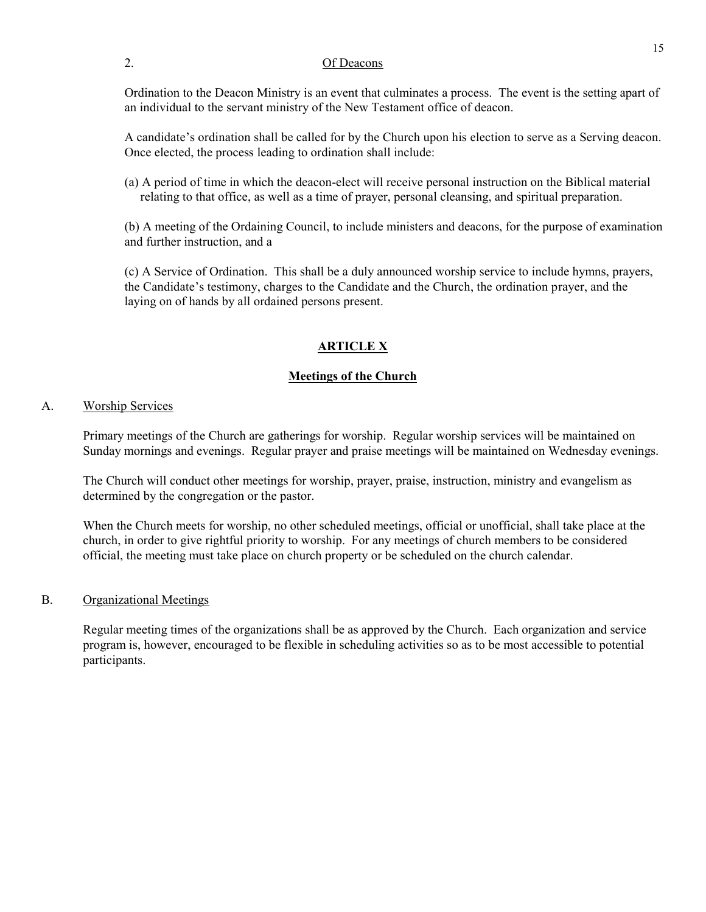## 2. Of Deacons

Ordination to the Deacon Ministry is an event that culminates a process. The event is the setting apart of an individual to the servant ministry of the New Testament office of deacon.

A candidate's ordination shall be called for by the Church upon his election to serve as a Serving deacon. Once elected, the process leading to ordination shall include:

(a) A period of time in which the deacon-elect will receive personal instruction on the Biblical material relating to that office, as well as a time of prayer, personal cleansing, and spiritual preparation.

(b) A meeting of the Ordaining Council, to include ministers and deacons, for the purpose of examination and further instruction, and a

(c) A Service of Ordination. This shall be a duly announced worship service to include hymns, prayers, the Candidate's testimony, charges to the Candidate and the Church, the ordination prayer, and the laying on of hands by all ordained persons present.

# ARTICLE X

# Meetings of the Church

## A. Worship Services

Primary meetings of the Church are gatherings for worship. Regular worship services will be maintained on Sunday mornings and evenings. Regular prayer and praise meetings will be maintained on Wednesday evenings.

The Church will conduct other meetings for worship, prayer, praise, instruction, ministry and evangelism as determined by the congregation or the pastor.

When the Church meets for worship, no other scheduled meetings, official or unofficial, shall take place at the church, in order to give rightful priority to worship. For any meetings of church members to be considered official, the meeting must take place on church property or be scheduled on the church calendar.

## B. Organizational Meetings

Regular meeting times of the organizations shall be as approved by the Church. Each organization and service program is, however, encouraged to be flexible in scheduling activities so as to be most accessible to potential participants.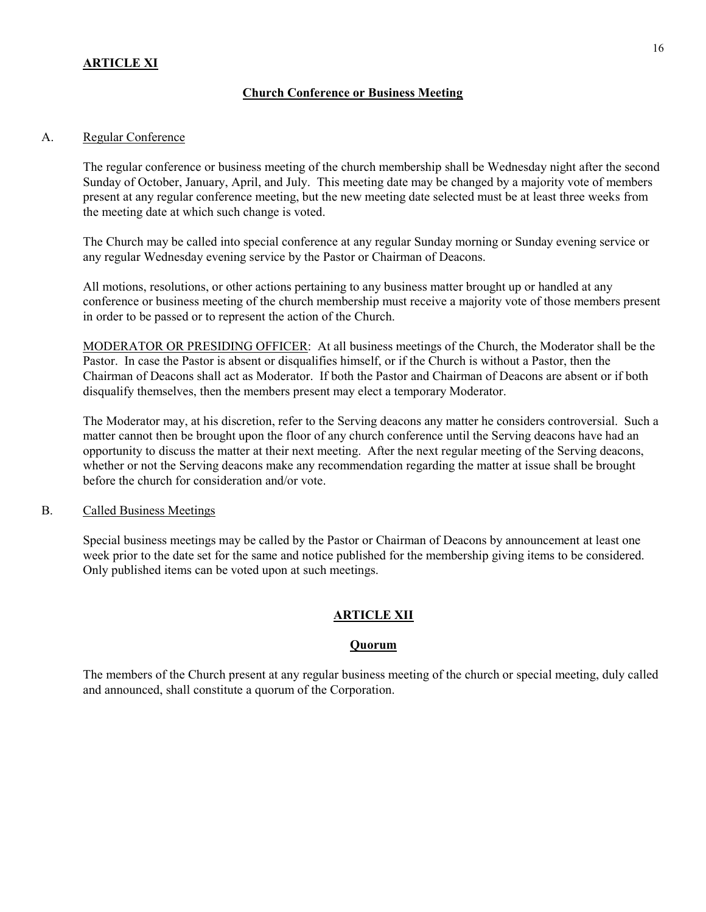# **ARTICLE XI**

# Church Conference or Business Meeting

## A. Regular Conference

The regular conference or business meeting of the church membership shall be Wednesday night after the second Sunday of October, January, April, and July. This meeting date may be changed by a majority vote of members present at any regular conference meeting, but the new meeting date selected must be at least three weeks from the meeting date at which such change is voted.

The Church may be called into special conference at any regular Sunday morning or Sunday evening service or any regular Wednesday evening service by the Pastor or Chairman of Deacons.

All motions, resolutions, or other actions pertaining to any business matter brought up or handled at any conference or business meeting of the church membership must receive a majority vote of those members present in order to be passed or to represent the action of the Church.

MODERATOR OR PRESIDING OFFICER: At all business meetings of the Church, the Moderator shall be the Pastor. In case the Pastor is absent or disqualifies himself, or if the Church is without a Pastor, then the Chairman of Deacons shall act as Moderator. If both the Pastor and Chairman of Deacons are absent or if both disqualify themselves, then the members present may elect a temporary Moderator.

The Moderator may, at his discretion, refer to the Serving deacons any matter he considers controversial. Such a matter cannot then be brought upon the floor of any church conference until the Serving deacons have had an opportunity to discuss the matter at their next meeting. After the next regular meeting of the Serving deacons, whether or not the Serving deacons make any recommendation regarding the matter at issue shall be brought before the church for consideration and/or vote.

## B. Called Business Meetings

Special business meetings may be called by the Pastor or Chairman of Deacons by announcement at least one week prior to the date set for the same and notice published for the membership giving items to be considered. Only published items can be voted upon at such meetings.

# ARTICLE XII

# **Quorum**

The members of the Church present at any regular business meeting of the church or special meeting, duly called and announced, shall constitute a quorum of the Corporation.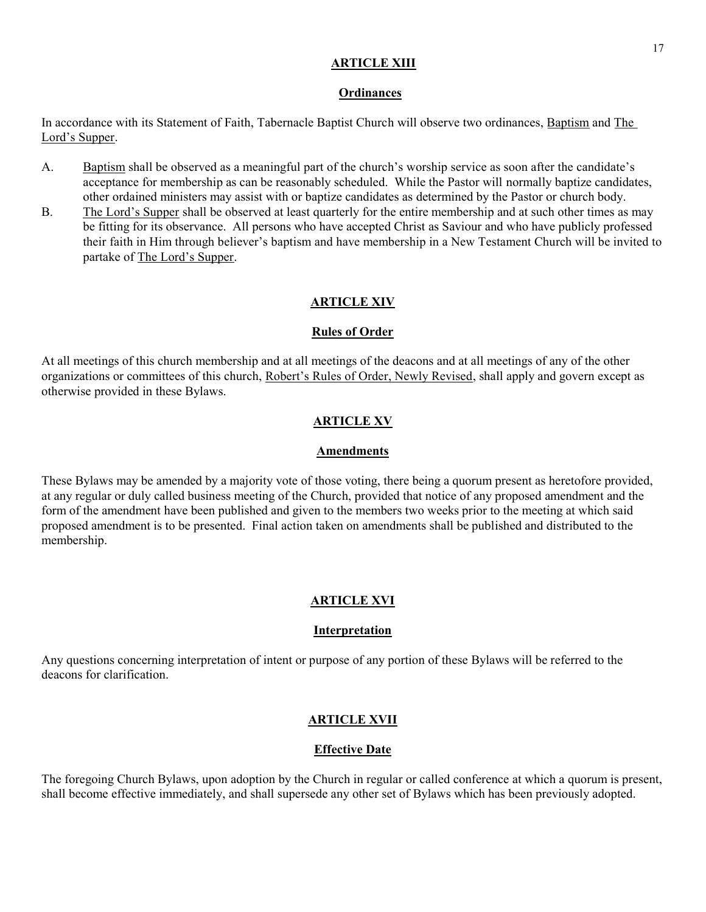# ARTICLE XIII

## **Ordinances**

In accordance with its Statement of Faith, Tabernacle Baptist Church will observe two ordinances, Baptism and The Lord's Supper.

- A. Baptism shall be observed as a meaningful part of the church's worship service as soon after the candidate's acceptance for membership as can be reasonably scheduled. While the Pastor will normally baptize candidates, other ordained ministers may assist with or baptize candidates as determined by the Pastor or church body.
- B. The Lord's Supper shall be observed at least quarterly for the entire membership and at such other times as may be fitting for its observance. All persons who have accepted Christ as Saviour and who have publicly professed their faith in Him through believer's baptism and have membership in a New Testament Church will be invited to partake of The Lord's Supper.

# ARTICLE XIV

## Rules of Order

At all meetings of this church membership and at all meetings of the deacons and at all meetings of any of the other organizations or committees of this church, Robert's Rules of Order, Newly Revised, shall apply and govern except as otherwise provided in these Bylaws.

# ARTICLE XV

## Amendments

These Bylaws may be amended by a majority vote of those voting, there being a quorum present as heretofore provided, at any regular or duly called business meeting of the Church, provided that notice of any proposed amendment and the form of the amendment have been published and given to the members two weeks prior to the meeting at which said proposed amendment is to be presented. Final action taken on amendments shall be published and distributed to the membership.

# ARTICLE XVI

## Interpretation

Any questions concerning interpretation of intent or purpose of any portion of these Bylaws will be referred to the deacons for clarification.

# ARTICLE XVII

# Effective Date

The foregoing Church Bylaws, upon adoption by the Church in regular or called conference at which a quorum is present, shall become effective immediately, and shall supersede any other set of Bylaws which has been previously adopted.